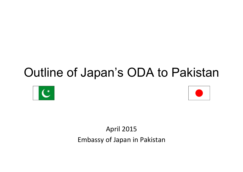# Outline of Japan's ODA to Pakistan





April 2015 Embassy of Japan in Pakistan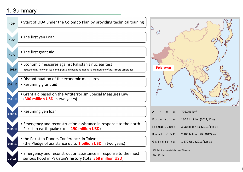# 1. Summary



| A                                   |          | r e a |  | 796,096 km <sup>2</sup>       |  |  |  |  |
|-------------------------------------|----------|-------|--|-------------------------------|--|--|--|--|
| Population                          |          |       |  | 180.71 million (2011/12) *1   |  |  |  |  |
| Federal Budget                      |          |       |  | 3,985 billion Rs (2013/14) *1 |  |  |  |  |
|                                     | Real GDP |       |  | 2,105 billion USD (2012) *2   |  |  |  |  |
| GNI/capita                          |          |       |  | 1,372 USD (2011/12) *1        |  |  |  |  |
| X1 Ref Pakistan Ministry of Finance |          |       |  |                               |  |  |  |  |

1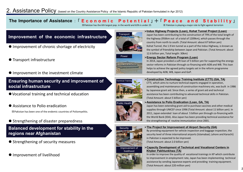## The Importance of Assistance: 「Economic Potential」 + 「Peace and Stability」

※Pakistan has the 6th largest pop. in the world and 63% is under 25 ※ Pakistan is playing a major role to fight against terrorism

## **Improvement of the economic infrastructure**

- Improvement of chronic shortage of electricity
- **Transport infrastructure**
- **Improvement in the investment climate**

**Ensuring human security and improvement of social infrastructure**

- Vocational training and technical education
- Assistance to Polio eradication

※Pakistan has been one of the endemic countries of Poliomyelitis.

● Strengthening of disaster preparedness

**Balanced development for stability in the regions near Afghanistan**

- Strengthening of security measures
- **Improvement of livelihood**



Power

## **Indus Highway Projects (Loan), Kohat Tunnel Project (Loan)**

Japan has been contributing to the construction of 79% of the total length of the highway (956km out of a total of 1209km), which passes through the country from north to south. (Total Amount: about 67 billion yen) Kohat Tunnel, the 1.9 km tunnel as a part of the Indus Highway, is known as the symbol of friendship between Japan and Pakistan. (Total Amount: about 12.6 billion yen, Total length: 30km)

#### **Energy Sector Reform Program (Loan)**

In 2014, Japan provided a soft loan of 5 billion yen for supporting the energy sector reforms in Pakistan through co-financing with ADB and WB. This loan helps to achieve the agreed policy targets set in the reform programme developed by ADB, WB, Japan and GoP.





#### **Construction Technology Training Institute (CTTI) (GA, TA)**

CTTI, which aims to nurture technical experts engaged in operation, assembling and maintenance of construction machinery etc, was built in 1986 by Japanese grant aid. Since then, a series of grant aid and technical assistance has been contributing to advanced technical skills in Pakistan. (Total Amount: about 5 billion yen)

#### **Assistance to Polio Eradication (Loan, GA, TA)**

Japan has been extending grant aid to purchase vaccines and other medical supplies through UNICEF since 1996 (Total Amount: about 11 billion yen). In 2011, Japan extended loan of about 5 billion yen through co-financing with the World Bank (IDA). Also Japan has been providing technical assistance for the strengthening of routine immunization since 2001.

#### **The Project for Improvement of Airport Security (GA)**



By providing equipment for vehicle inspection and baggage inspection, the security level of three international airports (Islamabad, Lahore and Karachi) in Pakistan is expected to be improved.

(Total Amount: about 2.0 billion yen)

**Capacity Development of Technical and Vocational Centers in Khyber Pakhtunkhwa (TA)**

In order to improve the quality of vocational trainings in KP which contribute to improvement in employment rate, Japan has been implementing technical assistance by sending Japanese experts and providing training equipment. (Total Amount: about 220 million yen)

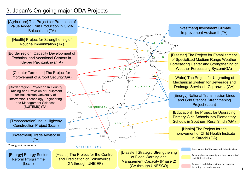# 3. Japan's On-going major ODA Projects